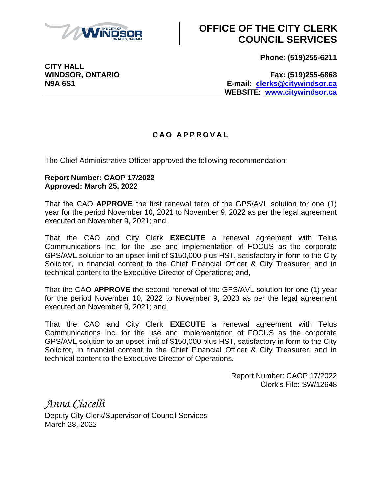

## **OFFICE OF THE CITY CLERK COUNCIL SERVICES**

**Phone: (519)255-6211**

**CITY HALL**

**WINDSOR, ONTARIO Fax: (519)255-6868 N9A 6S1 E-mail: [clerks@citywindsor.ca](mailto:clerks@citywindsor.ca) WEBSITE: [www.citywindsor.ca](http://www.citywindsor.ca/)**

## **C A O A P P R O V A L**

The Chief Administrative Officer approved the following recommendation:

## **Report Number: CAOP 17/2022 Approved: March 25, 2022**

That the CAO **APPROVE** the first renewal term of the GPS/AVL solution for one (1) year for the period November 10, 2021 to November 9, 2022 as per the legal agreement executed on November 9, 2021; and,

That the CAO and City Clerk **EXECUTE** a renewal agreement with Telus Communications Inc. for the use and implementation of FOCUS as the corporate GPS/AVL solution to an upset limit of \$150,000 plus HST, satisfactory in form to the City Solicitor, in financial content to the Chief Financial Officer & City Treasurer, and in technical content to the Executive Director of Operations; and,

That the CAO **APPROVE** the second renewal of the GPS/AVL solution for one (1) year for the period November 10, 2022 to November 9, 2023 as per the legal agreement executed on November 9, 2021; and,

That the CAO and City Clerk **EXECUTE** a renewal agreement with Telus Communications Inc. for the use and implementation of FOCUS as the corporate GPS/AVL solution to an upset limit of \$150,000 plus HST, satisfactory in form to the City Solicitor, in financial content to the Chief Financial Officer & City Treasurer, and in technical content to the Executive Director of Operations.

> Report Number: CAOP 17/2022 Clerk's File: SW/12648

*Anna Ciacelli* Deputy City Clerk/Supervisor of Council Services March 28, 2022